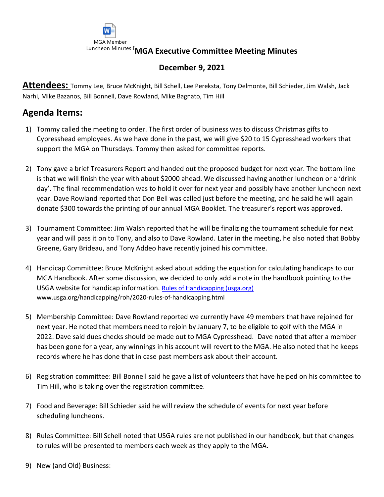

## **December 9, 2021**

**Attendees:** Tommy Lee, Bruce McKnight, Bill Schell, Lee Pereksta, Tony Delmonte, Bill Schieder, Jim Walsh, Jack Narhi, Mike Bazanos, Bill Bonnell, Dave Rowland, Mike Bagnato, Tim Hill

## **Agenda Items:**

- 1) Tommy called the meeting to order. The first order of business was to discuss Christmas gifts to Cypresshead employees. As we have done in the past, we will give \$20 to 15 Cypresshead workers that support the MGA on Thursdays. Tommy then asked for committee reports.
- 2) Tony gave a brief Treasurers Report and handed out the proposed budget for next year. The bottom line is that we will finish the year with about \$2000 ahead. We discussed having another luncheon or a 'drink day'. The final recommendation was to hold it over for next year and possibly have another luncheon next year. Dave Rowland reported that Don Bell was called just before the meeting, and he said he will again donate \$300 towards the printing of our annual MGA Booklet. The treasurer's report was approved.
- 3) Tournament Committee: Jim Walsh reported that he will be finalizing the tournament schedule for next year and will pass it on to Tony, and also to Dave Rowland. Later in the meeting, he also noted that Bobby Greene, Gary Brideau, and Tony Addeo have recently joined his committee.
- 4) Handicap Committee: Bruce McKnight asked about adding the equation for calculating handicaps to our MGA Handbook. After some discussion, we decided to only add a note in the handbook pointing to the USGA website for handicap information. [Rules of Handicapping \(usga.org\)](https://www.usga.org/handicapping/roh/2020-rules-of-handicapping.html) www.usga.org/handicapping/roh/2020-rules-of-handicapping.html
- 5) Membership Committee: Dave Rowland reported we currently have 49 members that have rejoined for next year. He noted that members need to rejoin by January 7, to be eligible to golf with the MGA in 2022. Dave said dues checks should be made out to MGA Cypresshead. Dave noted that after a member has been gone for a year, any winnings in his account will revert to the MGA. He also noted that he keeps records where he has done that in case past members ask about their account.
- 6) Registration committee: Bill Bonnell said he gave a list of volunteers that have helped on his committee to Tim Hill, who is taking over the registration committee.
- 7) Food and Beverage: Bill Schieder said he will review the schedule of events for next year before scheduling luncheons.
- 8) Rules Committee: Bill Schell noted that USGA rules are not published in our handbook, but that changes to rules will be presented to members each week as they apply to the MGA.
- 9) New (and Old) Business: